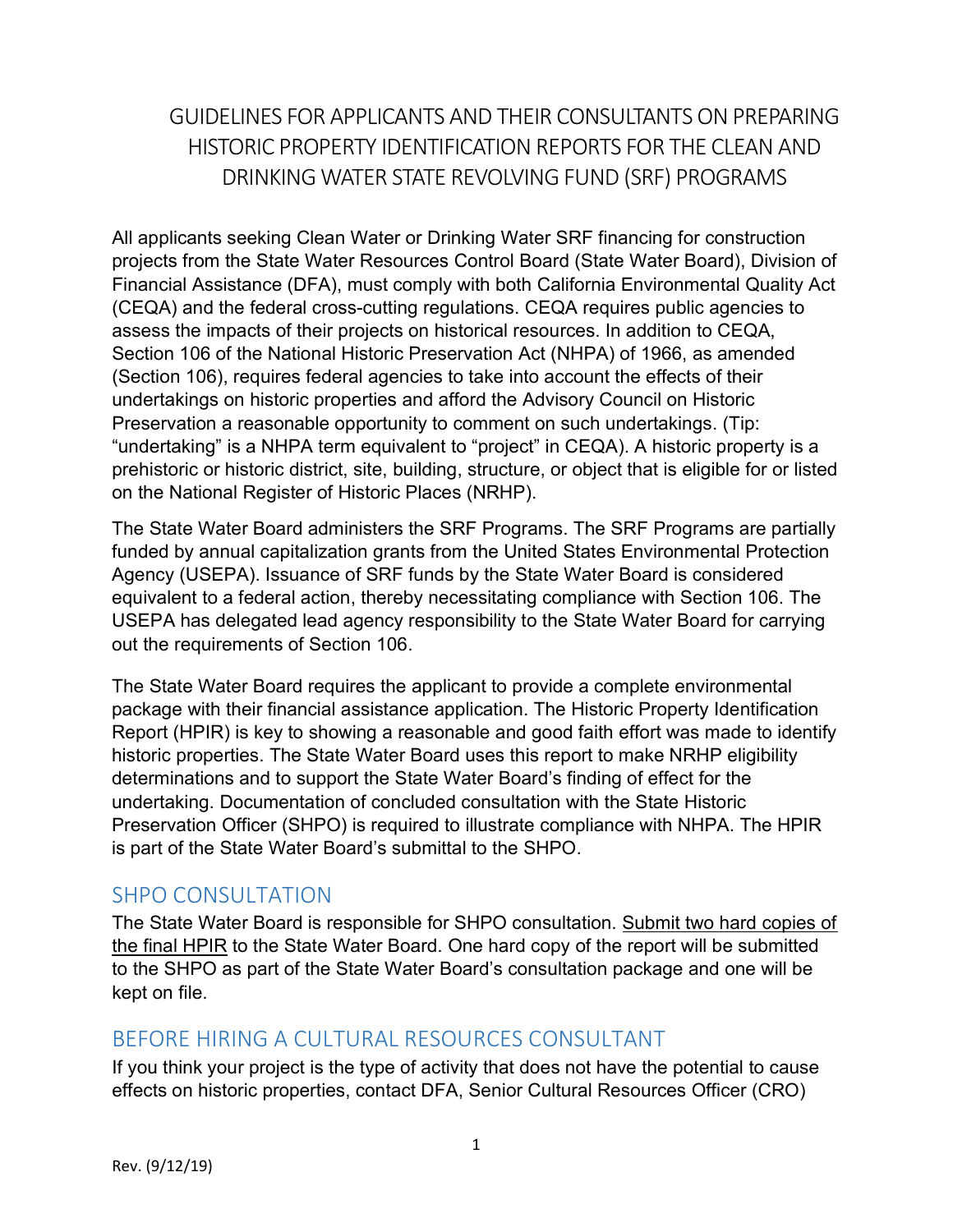# GUIDELINES FOR APPLICANTS AND THEIR CONSULTANTSON PREPARING HISTORIC PROPERTY IDENTIFICATION REPORTS FOR THE CLEAN AND DRINKING WATER STATE REVOLVING FUND (SRF) PROGRAMS

 All applicants seeking Clean Water or Drinking Water SRF financing for construction projects from the State Water Resources Control Board (State Water Board), Division of Financial Assistance (DFA), must comply with both California Environmental Quality Act (CEQA) and the federal cross-cutting regulations. CEQA requires public agencies to assess the impacts of their projects on historical resources. In addition to CEQA, Section 106 of the National Historic Preservation Act (NHPA) of 1966, as amended (Section 106), requires federal agencies to take into account the effects of their undertakings on historic properties and afford the Advisory Council on Historic Preservation a reasonable opportunity to comment on such undertakings. (Tip: "undertaking" is a NHPA term equivalent to "project" in CEQA). A historic property is a prehistoric or historic district, site, building, structure, or object that is eligible for or listed on the National Register of Historic Places (NRHP).

 The State Water Board administers the SRF Programs. The SRF Programs are partially funded by annual capitalization grants from the United States Environmental Protection Agency (USEPA). Issuance of SRF funds by the State Water Board is considered equivalent to a federal action, thereby necessitating compliance with Section 106. The USEPA has delegated lead agency responsibility to the State Water Board for carrying out the requirements of Section 106.

 The State Water Board requires the applicant to provide a complete environmental package with their financial assistance application. The Historic Property Identification Report (HPIR) is key to showing a reasonable and good faith effort was made to identify historic properties. The State Water Board uses this report to make NRHP eligibility determinations and to support the State Water Board's finding of effect for the undertaking. Documentation of concluded consultation with the State Historic Preservation Officer (SHPO) is required to illustrate compliance with NHPA. The HPIR is part of the State Water Board's submittal to the SHPO.

#### SHPO CONSULTATION

The State Water Board is responsible for SHPO consultation. Submit two hard copies of the final HPIR to the State Water Board. One hard copy of the report will be submitted to the SHPO as part of the State Water Board's consultation package and one will be kept on file.

## BEFORE HIRING A CULTURAL RESOURCES CONSULTANT

 If you think your project is the type of activity that does not have the potential to cause effects on historic properties, contact DFA, Senior Cultural Resources Officer (CRO)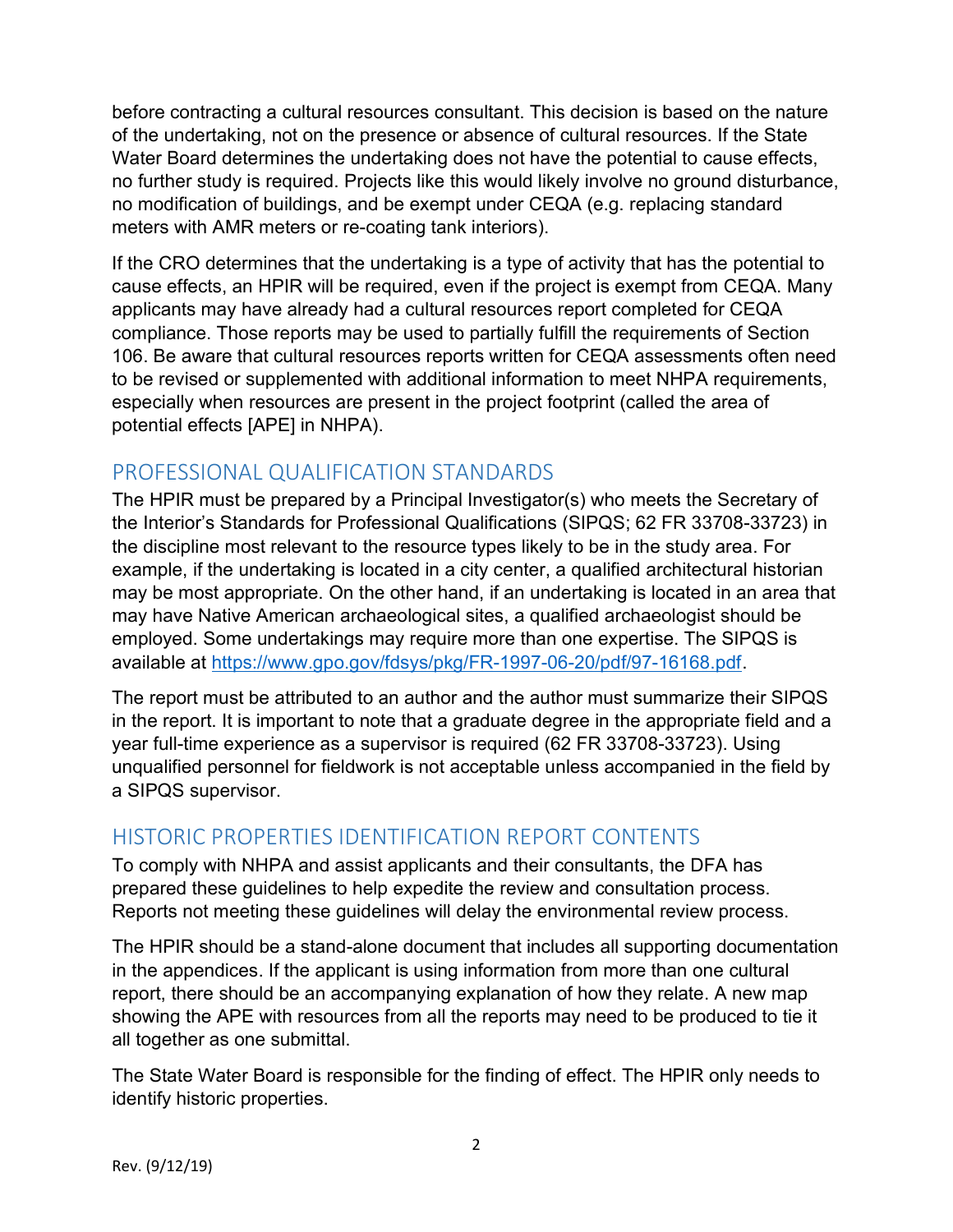before contracting a cultural resources consultant. This decision is based on the nature of the undertaking, not on the presence or absence of cultural resources. If the State Water Board determines the undertaking does not have the potential to cause effects, no further study is required. Projects like this would likely involve no ground disturbance, no modification of buildings, and be exempt under CEQA (e.g. replacing standard meters with AMR meters or re-coating tank interiors).

 If the CRO determines that the undertaking is a type of activity that has the potential to cause effects, an HPIR will be required, even if the project is exempt from CEQA. Many applicants may have already had a cultural resources report completed for CEQA compliance. Those reports may be used to partially fulfill the requirements of Section 106. Be aware that cultural resources reports written for CEQA assessments often need to be revised or supplemented with additional information to meet NHPA requirements, especially when resources are present in the project footprint (called the area of potential effects [APE] in NHPA).

## PROFESSIONAL QUALIFICATION STANDARDS

 The HPIR must be prepared by a Principal Investigator(s) who meets the Secretary of the Interior's Standards for Professional Qualifications (SIPQS; 62 FR 33708-33723) in the discipline most relevant to the resource types likely to be in the study area. For example, if the undertaking is located in a city center, a qualified architectural historian may be most appropriate. On the other hand, if an undertaking is located in an area that may have Native American archaeological sites, a qualified archaeologist should be employed. Some undertakings may require more than one expertise. The SIPQS is available at https://www.gpo.gov/fdsys/pkg/FR-1997-06-20/pdf/97-16168.pdf.

 The report must be attributed to an author and the author must summarize their SIPQS in the report. It is important to note that a graduate degree in the appropriate field and a year full-time experience as a supervisor is required (62 FR 33708-33723). Using unqualified personnel for fieldwork is not acceptable unless accompanied in the field by a SIPQS supervisor.

## HISTORIC PROPERTIES IDENTIFICATION REPORT CONTENTS

 To comply with NHPA and assist applicants and their consultants, the DFA has prepared these guidelines to help expedite the review and consultation process. Reports not meeting these guidelines will delay the environmental review process.

 The HPIR should be a stand-alone document that includes all supporting documentation in the appendices. If the applicant is using information from more than one cultural report, there should be an accompanying explanation of how they relate. A new map showing the APE with resources from all the reports may need to be produced to tie it all together as one submittal.

 The State Water Board is responsible for the finding of effect. The HPIR only needs to identify historic properties.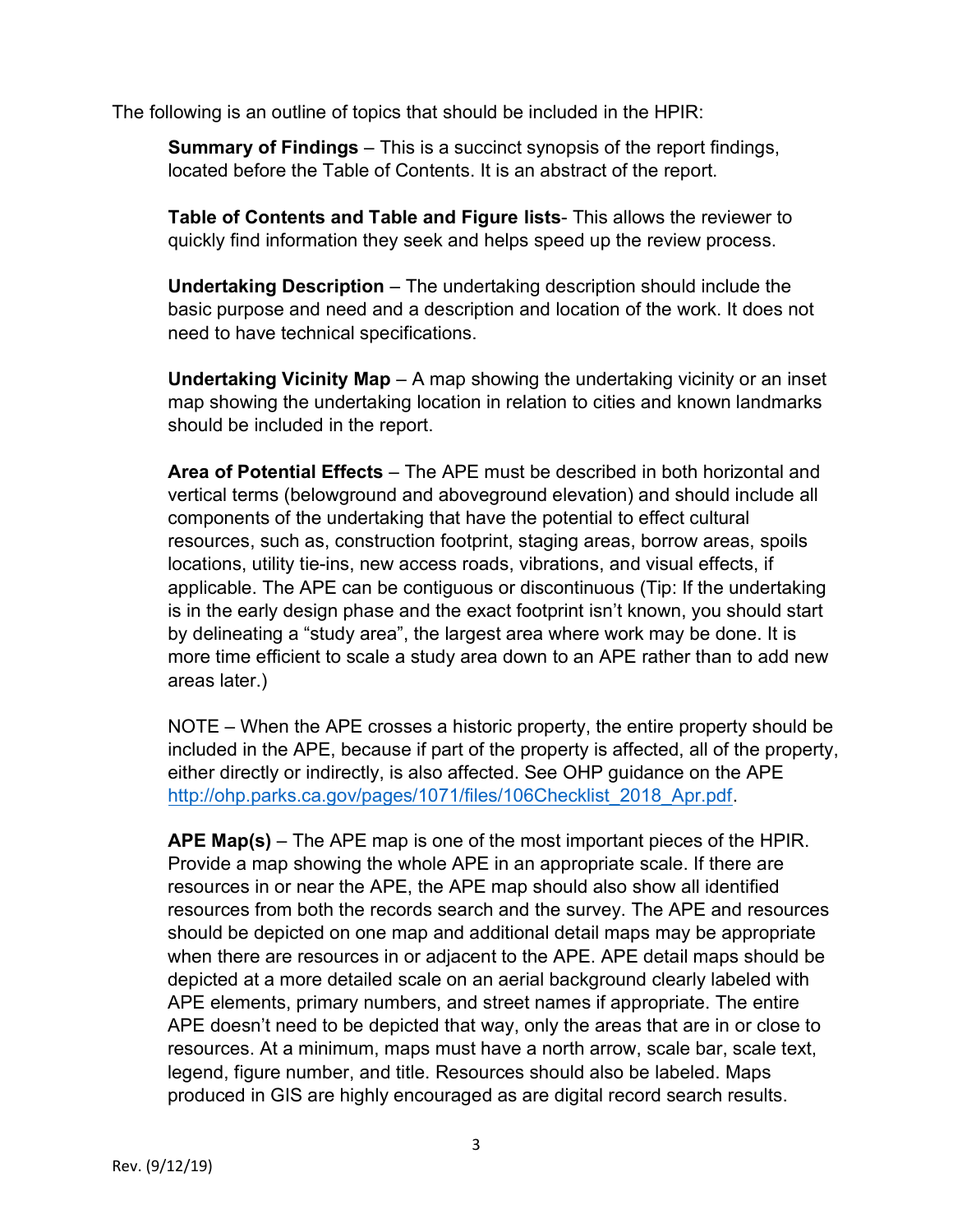The following is an outline of topics that should be included in the HPIR:

**Summary of Findings** – This is a succinct synopsis of the report findings, located before the Table of Contents. It is an abstract of the report.

Table of Contents and Table and Figure lists- This allows the reviewer to quickly find information they seek and helps speed up the review process.

 Undertaking Description – The undertaking description should include the basic purpose and need and a description and location of the work. It does not need to have technical specifications.

Undertaking Vicinity Map – A map showing the undertaking vicinity or an inset map showing the undertaking location in relation to cities and known landmarks should be included in the report.

Area of Potential Effects - The APE must be described in both horizontal and vertical terms (belowground and aboveground elevation) and should include all components of the undertaking that have the potential to effect cultural resources, such as, construction footprint, staging areas, borrow areas, spoils locations, utility tie-ins, new access roads, vibrations, and visual effects, if applicable. The APE can be contiguous or discontinuous (Tip: If the undertaking is in the early design phase and the exact footprint isn't known, you should start by delineating a "study area", the largest area where work may be done. It is more time efficient to scale a study area down to an APE rather than to add new areas later.)

 NOTE – When the APE crosses a historic property, the entire property should be included in the APE, because if part of the property is affected, all of the property, either directly or indirectly, is also affected. See OHP guidance on the APE http://ohp.parks.ca.gov/pages/1071/files/106Checklist\_2018\_Apr.pdf.

APE Map(s) – The APE map is one of the most important pieces of the HPIR. Provide a map showing the whole APE in an appropriate scale. If there are resources in or near the APE, the APE map should also show all identified resources from both the records search and the survey. The APE and resources should be depicted on one map and additional detail maps may be appropriate when there are resources in or adjacent to the APE. APE detail maps should be depicted at a more detailed scale on an aerial background clearly labeled with APE elements, primary numbers, and street names if appropriate. The entire APE doesn't need to be depicted that way, only the areas that are in or close to resources. At a minimum, maps must have a north arrow, scale bar, scale text, legend, figure number, and title. Resources should also be labeled. Maps produced in GIS are highly encouraged as are digital record search results.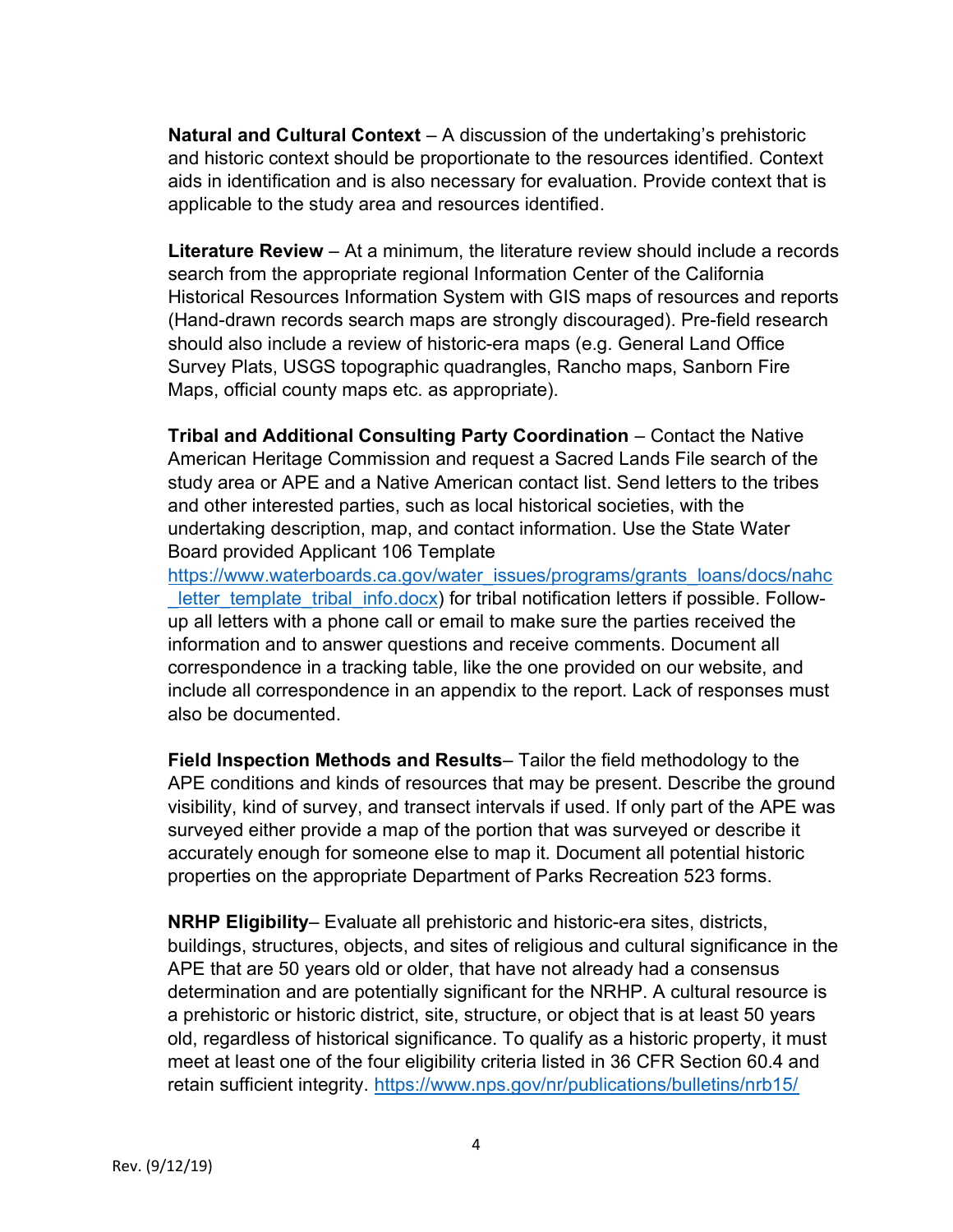Natural and Cultural Context - A discussion of the undertaking's prehistoric and historic context should be proportionate to the resources identified. Context aids in identification and is also necessary for evaluation. Provide context that is applicable to the study area and resources identified.

Literature Review - At a minimum, the literature review should include a records search from the appropriate regional Information Center of the California Historical Resources Information System with GIS maps of resources and reports (Hand-drawn records search maps are strongly discouraged). Pre-field research should also include a review of historic-era maps (e.g. General Land Office Survey Plats, USGS topographic quadrangles, Rancho maps, Sanborn Fire Maps, official county maps etc. as appropriate).

 Tribal and Additional Consulting Party Coordination – Contact the Native American Heritage Commission and request a Sacred Lands File search of the study area or APE and a Native American contact list. Send letters to the tribes and other interested parties, such as local historical societies, with the undertaking description, map, and contact information. Use the State Water Board provided Applicant 106 Template

Letter\_template\_tribal\_info.docx) for tribal notification letters if possible. Follow- up all letters with a phone call or email to make sure the parties received the information and to answer questions and receive comments. Document all correspondence in a tracking table, like the one provided on our website, and include all correspondence in an appendix to the report. Lack of responses must also be documented. https://www.waterboards.ca.gov/water\_issues/programs/grants\_loans/docs/nahc

Field Inspection Methods and Results- Tailor the field methodology to the APE conditions and kinds of resources that may be present. Describe the ground visibility, kind of survey, and transect intervals if used. If only part of the APE was surveyed either provide a map of the portion that was surveyed or describe it accurately enough for someone else to map it. Document all potential historic properties on the appropriate Department of Parks Recreation 523 forms.

NRHP Eligibility– Evaluate all prehistoric and historic-era sites, districts, buildings, structures, objects, and sites of religious and cultural significance in the APE that are 50 years old or older, that have not already had a consensus determination and are potentially significant for the NRHP. A cultural resource is a prehistoric or historic district, site, structure, or object that is at least 50 years old, regardless of historical significance. To qualify as a historic property, it must meet at least one of the four eligibility criteria listed in 36 CFR Section 60.4 and retain sufficient integrity. https://www.nps.gov/nr/publications/bulletins/nrb15/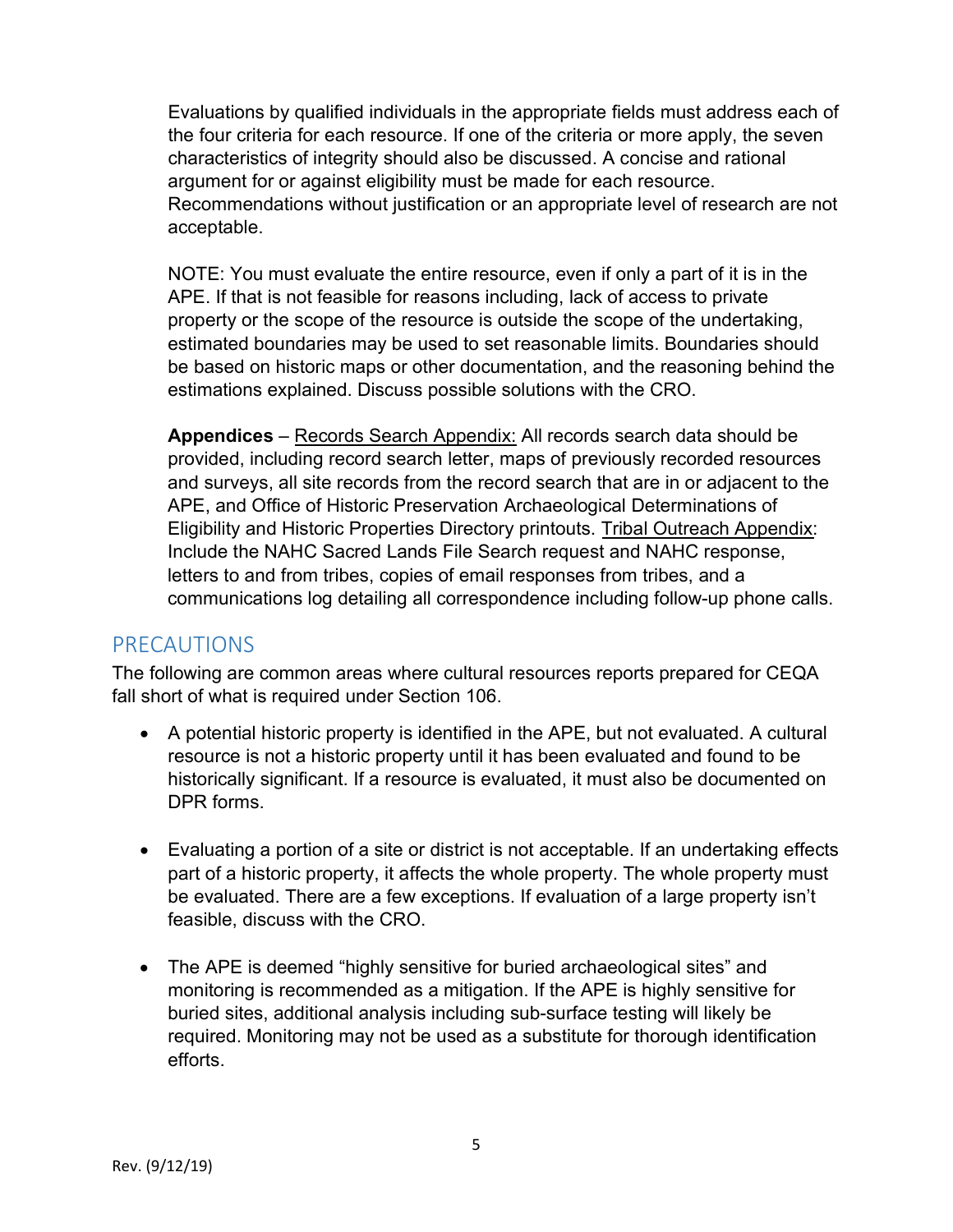Evaluations by qualified individuals in the appropriate fields must address each of the four criteria for each resource. If one of the criteria or more apply, the seven characteristics of integrity should also be discussed. A concise and rational argument for or against eligibility must be made for each resource. Recommendations without justification or an appropriate level of research are not acceptable.

 NOTE: You must evaluate the entire resource, even if only a part of it is in the APE. If that is not feasible for reasons including, lack of access to private property or the scope of the resource is outside the scope of the undertaking, estimated boundaries may be used to set reasonable limits. Boundaries should be based on historic maps or other documentation, and the reasoning behind the estimations explained. Discuss possible solutions with the CRO.

Appendices – Records Search Appendix: All records search data should be provided, including record search letter, maps of previously recorded resources and surveys, all site records from the record search that are in or adjacent to the APE, and Office of Historic Preservation Archaeological Determinations of Eligibility and Historic Properties Directory printouts. Tribal Outreach Appendix: Include the NAHC Sacred Lands File Search request and NAHC response, letters to and from tribes, copies of email responses from tribes, and a communications log detailing all correspondence including follow-up phone calls.

#### PRECAUTIONS

 The following are common areas where cultural resources reports prepared for CEQA fall short of what is required under Section 106.

- A potential historic property is identified in the APE, but not evaluated. A cultural resource is not a historic property until it has been evaluated and found to be historically significant. If a resource is evaluated, it must also be documented on DPR forms.
- Evaluating a portion of a site or district is not acceptable. If an undertaking effects part of a historic property, it affects the whole property. The whole property must be evaluated. There are a few exceptions. If evaluation of a large property isn't feasible, discuss with the CRO.
- The APE is deemed "highly sensitive for buried archaeological sites" and monitoring is recommended as a mitigation. If the APE is highly sensitive for buried sites, additional analysis including sub-surface testing will likely be required. Monitoring may not be used as a substitute for thorough identification efforts.